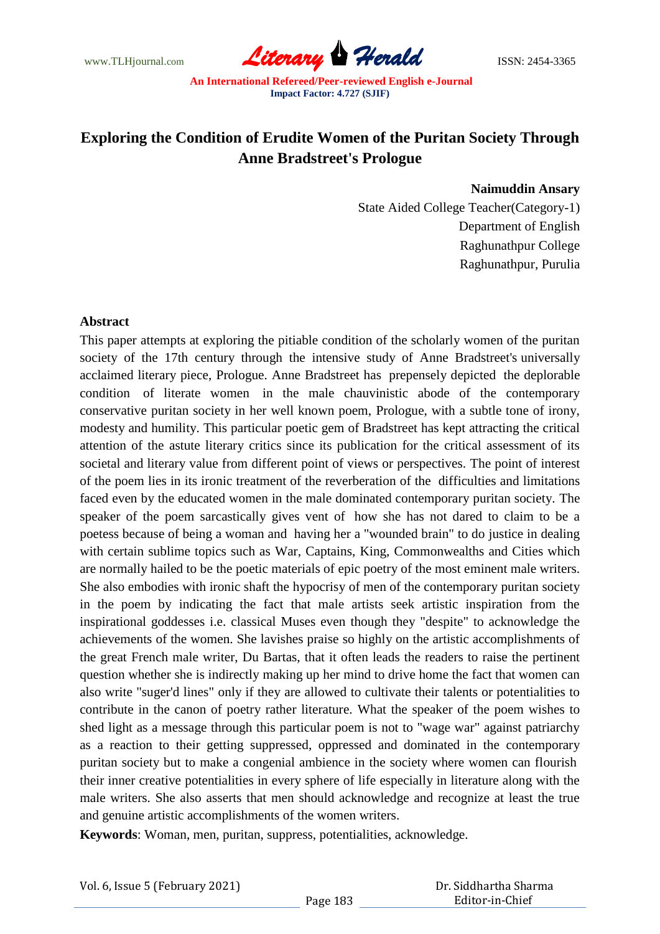www.TLHjournal.com *Literary Herald*ISSN: 2454-3365

## **Exploring the Condition of Erudite Women of the Puritan Society Through Anne Bradstreet's Prologue**

## **Naimuddin Ansary**

State Aided College Teacher(Category-1) Department of English Raghunathpur College Raghunathpur, Purulia

## **Abstract**

This paper attempts at exploring the pitiable condition of the scholarly women of the puritan society of the 17th century through the intensive study of Anne Bradstreet's universally acclaimed literary piece, Prologue. Anne Bradstreet has prepensely depicted the deplorable condition of literate women in the male chauvinistic abode of the contemporary conservative puritan society in her well known poem, Prologue, with a subtle tone of irony, modesty and humility. This particular poetic gem of Bradstreet has kept attracting the critical attention of the astute literary critics since its publication for the critical assessment of its societal and literary value from different point of views or perspectives. The point of interest of the poem lies in its ironic treatment of the reverberation of the difficulties and limitations faced even by the educated women in the male dominated contemporary puritan society. The speaker of the poem sarcastically gives vent of how she has not dared to claim to be a poetess because of being a woman and having her a "wounded brain" to do justice in dealing with certain sublime topics such as War, Captains, King, Commonwealths and Cities which are normally hailed to be the poetic materials of epic poetry of the most eminent male writers. She also embodies with ironic shaft the hypocrisy of men of the contemporary puritan society in the poem by indicating the fact that male artists seek artistic inspiration from the inspirational goddesses i.e. classical Muses even though they "despite" to acknowledge the achievements of the women. She lavishes praise so highly on the artistic accomplishments of the great French male writer, Du Bartas, that it often leads the readers to raise the pertinent question whether she is indirectly making up her mind to drive home the fact that women can also write "suger'd lines" only if they are allowed to cultivate their talents or potentialities to contribute in the canon of poetry rather literature. What the speaker of the poem wishes to shed light as a message through this particular poem is not to "wage war" against patriarchy as a reaction to their getting suppressed, oppressed and dominated in the contemporary puritan society but to make a congenial ambience in the society where women can flourish their inner creative potentialities in every sphere of life especially in literature along with the male writers. She also asserts that men should acknowledge and recognize at least the true and genuine artistic accomplishments of the women writers.

**Keywords**: Woman, men, puritan, suppress, potentialities, acknowledge.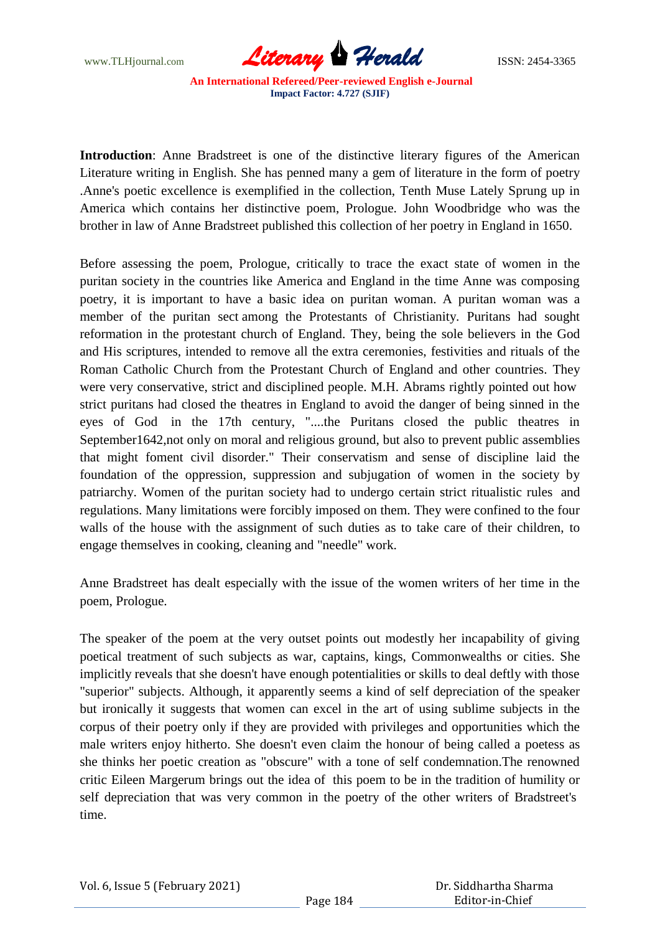

**Introduction**: Anne Bradstreet is one of the distinctive literary figures of the American Literature writing in English. She has penned many a gem of literature in the form of poetry .Anne's poetic excellence is exemplified in the collection, Tenth Muse Lately Sprung up in America which contains her distinctive poem, Prologue. John Woodbridge who was the brother in law of Anne Bradstreet published this collection of her poetry in England in 1650.

Before assessing the poem, Prologue, critically to trace the exact state of women in the puritan society in the countries like America and England in the time Anne was composing poetry, it is important to have a basic idea on puritan woman. A puritan woman was a member of the puritan sect among the Protestants of Christianity. Puritans had sought reformation in the protestant church of England. They, being the sole believers in the God and His scriptures, intended to remove all the extra ceremonies, festivities and rituals of the Roman Catholic Church from the Protestant Church of England and other countries. They were very conservative, strict and disciplined people. M.H. Abrams rightly pointed out how strict puritans had closed the theatres in England to avoid the danger of being sinned in the eyes of God in the 17th century, "....the Puritans closed the public theatres in September1642,not only on moral and religious ground, but also to prevent public assemblies that might foment civil disorder." Their conservatism and sense of discipline laid the foundation of the oppression, suppression and subjugation of women in the society by patriarchy. Women of the puritan society had to undergo certain strict ritualistic rules and regulations. Many limitations were forcibly imposed on them. They were confined to the four walls of the house with the assignment of such duties as to take care of their children, to engage themselves in cooking, cleaning and "needle" work.

Anne Bradstreet has dealt especially with the issue of the women writers of her time in the poem, Prologue.

The speaker of the poem at the very outset points out modestly her incapability of giving poetical treatment of such subjects as war, captains, kings, Commonwealths or cities. She implicitly reveals that she doesn't have enough potentialities or skills to deal deftly with those "superior" subjects. Although, it apparently seems a kind of self depreciation of the speaker but ironically it suggests that women can excel in the art of using sublime subjects in the corpus of their poetry only if they are provided with privileges and opportunities which the male writers enjoy hitherto. She doesn't even claim the honour of being called a poetess as she thinks her poetic creation as "obscure" with a tone of self condemnation.The renowned critic Eileen Margerum brings out the idea of this poem to be in the tradition of humility or self depreciation that was very common in the poetry of the other writers of Bradstreet's time.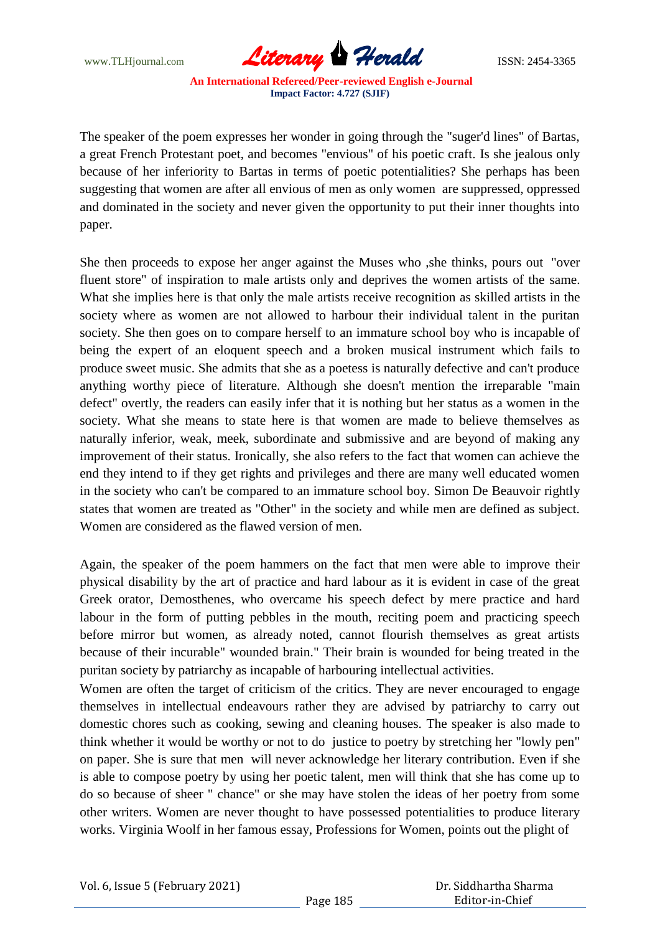www.TLHjournal.com *Literary Herald*ISSN: 2454-3365

The speaker of the poem expresses her wonder in going through the "suger'd lines" of Bartas, a great French Protestant poet, and becomes "envious" of his poetic craft. Is she jealous only because of her inferiority to Bartas in terms of poetic potentialities? She perhaps has been suggesting that women are after all envious of men as only women are suppressed, oppressed and dominated in the society and never given the opportunity to put their inner thoughts into paper.

She then proceeds to expose her anger against the Muses who ,she thinks, pours out "over fluent store" of inspiration to male artists only and deprives the women artists of the same. What she implies here is that only the male artists receive recognition as skilled artists in the society where as women are not allowed to harbour their individual talent in the puritan society. She then goes on to compare herself to an immature school boy who is incapable of being the expert of an eloquent speech and a broken musical instrument which fails to produce sweet music. She admits that she as a poetess is naturally defective and can't produce anything worthy piece of literature. Although she doesn't mention the irreparable "main defect" overtly, the readers can easily infer that it is nothing but her status as a women in the society. What she means to state here is that women are made to believe themselves as naturally inferior, weak, meek, subordinate and submissive and are beyond of making any improvement of their status. Ironically, she also refers to the fact that women can achieve the end they intend to if they get rights and privileges and there are many well educated women in the society who can't be compared to an immature school boy. Simon De Beauvoir rightly states that women are treated as "Other" in the society and while men are defined as subject. Women are considered as the flawed version of men.

Again, the speaker of the poem hammers on the fact that men were able to improve their physical disability by the art of practice and hard labour as it is evident in case of the great Greek orator, Demosthenes, who overcame his speech defect by mere practice and hard labour in the form of putting pebbles in the mouth, reciting poem and practicing speech before mirror but women, as already noted, cannot flourish themselves as great artists because of their incurable" wounded brain." Their brain is wounded for being treated in the puritan society by patriarchy as incapable of harbouring intellectual activities.

Women are often the target of criticism of the critics. They are never encouraged to engage themselves in intellectual endeavours rather they are advised by patriarchy to carry out domestic chores such as cooking, sewing and cleaning houses. The speaker is also made to think whether it would be worthy or not to do justice to poetry by stretching her "lowly pen" on paper. She is sure that men will never acknowledge her literary contribution. Even if she is able to compose poetry by using her poetic talent, men will think that she has come up to do so because of sheer " chance" or she may have stolen the ideas of her poetry from some other writers. Women are never thought to have possessed potentialities to produce literary works. Virginia Woolf in her famous essay, Professions for Women, points out the plight of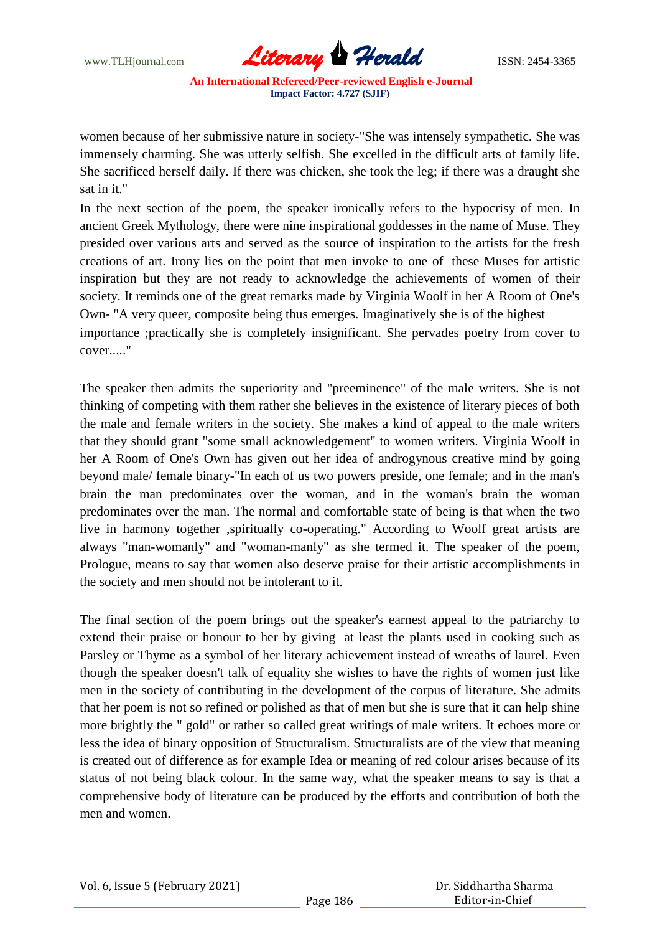www.TLHjournal.com **Literary Herald Herald** ISSN: 2454-3365

women because of her submissive nature in society-"She was intensely sympathetic. She was immensely charming. She was utterly selfish. She excelled in the difficult arts of family life. She sacrificed herself daily. If there was chicken, she took the leg; if there was a draught she sat in it."

In the next section of the poem, the speaker ironically refers to the hypocrisy of men. In ancient Greek Mythology, there were nine inspirational goddesses in the name of Muse. They presided over various arts and served as the source of inspiration to the artists for the fresh creations of art. Irony lies on the point that men invoke to one of these Muses for artistic inspiration but they are not ready to acknowledge the achievements of women of their society. It reminds one of the great remarks made by Virginia Woolf in her A Room of One's Own- "A very queer, composite being thus emerges. Imaginatively she is of the highest importance ;practically she is completely insignificant. She pervades poetry from cover to cover..."

The speaker then admits the superiority and "preeminence" of the male writers. She is not thinking of competing with them rather she believes in the existence of literary pieces of both the male and female writers in the society. She makes a kind of appeal to the male writers that they should grant "some small acknowledgement" to women writers. Virginia Woolf in her A Room of One's Own has given out her idea of androgynous creative mind by going beyond male/ female binary-"In each of us two powers preside, one female; and in the man's brain the man predominates over the woman, and in the woman's brain the woman predominates over the man. The normal and comfortable state of being is that when the two live in harmony together ,spiritually co-operating." According to Woolf great artists are always "man-womanly" and "woman-manly" as she termed it. The speaker of the poem, Prologue, means to say that women also deserve praise for their artistic accomplishments in the society and men should not be intolerant to it.

The final section of the poem brings out the speaker's earnest appeal to the patriarchy to extend their praise or honour to her by giving at least the plants used in cooking such as Parsley or Thyme as a symbol of her literary achievement instead of wreaths of laurel. Even though the speaker doesn't talk of equality she wishes to have the rights of women just like men in the society of contributing in the development of the corpus of literature. She admits that her poem is not so refined or polished as that of men but she is sure that it can help shine more brightly the " gold" or rather so called great writings of male writers. It echoes more or less the idea of binary opposition of Structuralism. Structuralists are of the view that meaning is created out of difference as for example Idea or meaning of red colour arises because of its status of not being black colour. In the same way, what the speaker means to say is that a comprehensive body of literature can be produced by the efforts and contribution of both the men and women.